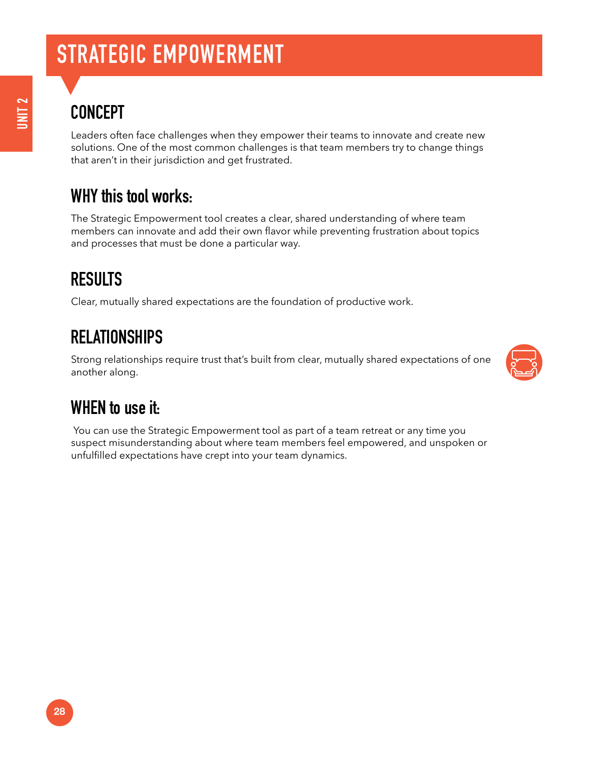## **STRATEGIC EMPOWERMENT**

## **CONCEPT**

Leaders often face challenges when they empower their teams to innovate and create new solutions. One of the most common challenges is that team members try to change things that aren't in their jurisdiction and get frustrated.

#### **WHY this tool works:**

The Strategic Empowerment tool creates a clear, shared understanding of where team members can innovate and add their own flavor while preventing frustration about topics and processes that must be done a particular way.

#### **RESULTS**

Clear, mutually shared expectations are the foundation of productive work.

### **RELATIONSHIPS**

Strong relationships require trust that's built from clear, mutually shared expectations of one another along.



#### **WHEN to use it:**

 You can use the Strategic Empowerment tool as part of a team retreat or any time you suspect misunderstanding about where team members feel empowered, and unspoken or unfulfilled expectations have crept into your team dynamics.